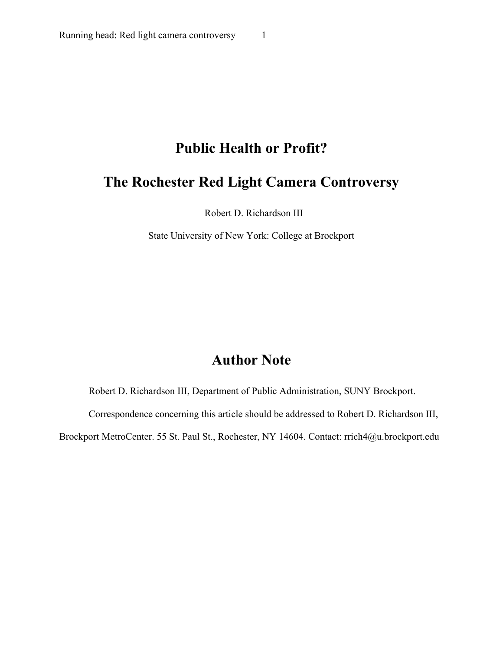# **Public Health or Profit?**

## **The Rochester Red Light Camera Controversy**

Robert D. Richardson III

State University of New York: College at Brockport

# **Author Note**

Robert D. Richardson III, Department of Public Administration, SUNY Brockport.

Correspondence concerning this article should be addressed to Robert D. Richardson III,

Brockport MetroCenter. 55 St. Paul St., Rochester, NY 14604. Contact: rrich4@u.brockport.edu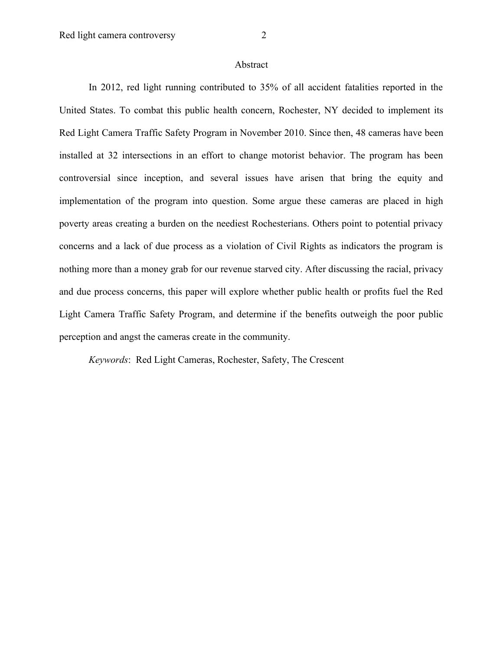#### Abstract

In 2012, red light running contributed to 35% of all accident fatalities reported in the United States. To combat this public health concern, Rochester, NY decided to implement its Red Light Camera Traffic Safety Program in November 2010. Since then, 48 cameras have been installed at 32 intersections in an effort to change motorist behavior. The program has been controversial since inception, and several issues have arisen that bring the equity and implementation of the program into question. Some argue these cameras are placed in high poverty areas creating a burden on the neediest Rochesterians. Others point to potential privacy concerns and a lack of due process as a violation of Civil Rights as indicators the program is nothing more than a money grab for our revenue starved city. After discussing the racial, privacy and due process concerns, this paper will explore whether public health or profits fuel the Red Light Camera Traffic Safety Program, and determine if the benefits outweigh the poor public perception and angst the cameras create in the community.

*Keywords*: Red Light Cameras, Rochester, Safety, The Crescent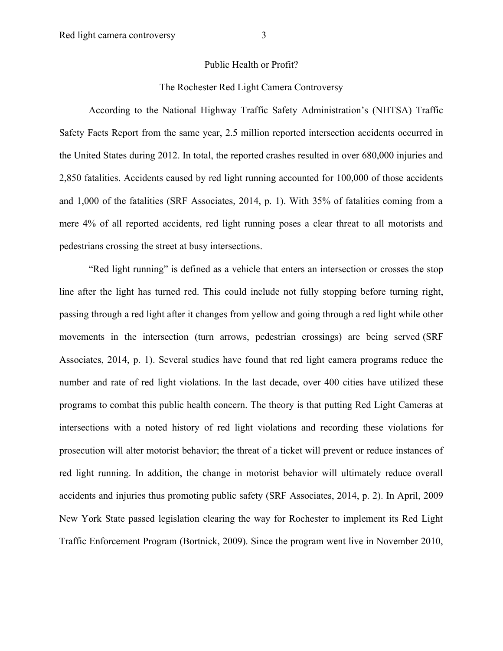### Public Health or Profit?

## The Rochester Red Light Camera Controversy

According to the National Highway Traffic Safety Administration's (NHTSA) Traffic Safety Facts Report from the same year, 2.5 million reported intersection accidents occurred in the United States during 2012. In total, the reported crashes resulted in over 680,000 injuries and 2,850 fatalities. Accidents caused by red light running accounted for 100,000 of those accidents and 1,000 of the fatalities (SRF Associates, 2014, p. 1). With 35% of fatalities coming from a mere 4% of all reported accidents, red light running poses a clear threat to all motorists and pedestrians crossing the street at busy intersections.

"Red light running" is defined as a vehicle that enters an intersection or crosses the stop line after the light has turned red. This could include not fully stopping before turning right, passing through a red light after it changes from yellow and going through a red light while other movements in the intersection (turn arrows, pedestrian crossings) are being served (SRF Associates, 2014, p. 1). Several studies have found that red light camera programs reduce the number and rate of red light violations. In the last decade, over 400 cities have utilized these programs to combat this public health concern. The theory is that putting Red Light Cameras at intersections with a noted history of red light violations and recording these violations for prosecution will alter motorist behavior; the threat of a ticket will prevent or reduce instances of red light running. In addition, the change in motorist behavior will ultimately reduce overall accidents and injuries thus promoting public safety (SRF Associates, 2014, p. 2). In April, 2009 New York State passed legislation clearing the way for Rochester to implement its Red Light Traffic Enforcement Program (Bortnick, 2009). Since the program went live in November 2010,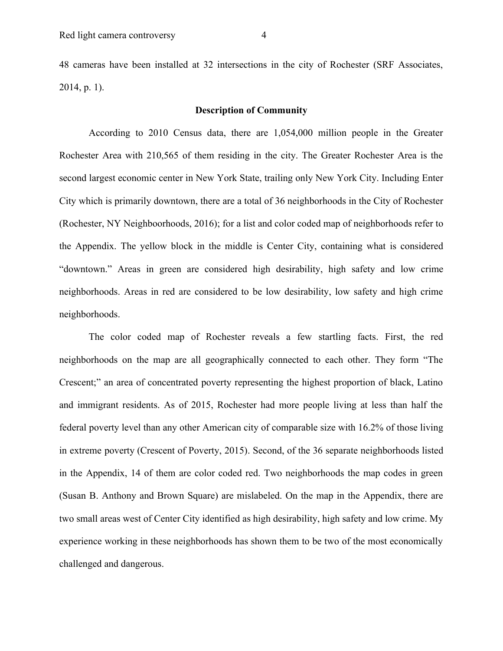48 cameras have been installed at 32 intersections in the city of Rochester (SRF Associates, 2014, p. 1).

### **Description of Community**

According to 2010 Census data, there are 1,054,000 million people in the Greater Rochester Area with 210,565 of them residing in the city. The Greater Rochester Area is the second largest economic center in New York State, trailing only New York City. Including Enter City which is primarily downtown, there are a total of 36 neighborhoods in the City of Rochester (Rochester, NY Neighboorhoods, 2016); for a list and color coded map of neighborhoods refer to the Appendix. The yellow block in the middle is Center City, containing what is considered "downtown." Areas in green are considered high desirability, high safety and low crime neighborhoods. Areas in red are considered to be low desirability, low safety and high crime neighborhoods.

The color coded map of Rochester reveals a few startling facts. First, the red neighborhoods on the map are all geographically connected to each other. They form "The Crescent;" an area of concentrated poverty representing the highest proportion of black, Latino and immigrant residents. As of 2015, Rochester had more people living at less than half the federal poverty level than any other American city of comparable size with 16.2% of those living in extreme poverty (Crescent of Poverty, 2015). Second, of the 36 separate neighborhoods listed in the Appendix, 14 of them are color coded red. Two neighborhoods the map codes in green (Susan B. Anthony and Brown Square) are mislabeled. On the map in the Appendix, there are two small areas west of Center City identified as high desirability, high safety and low crime. My experience working in these neighborhoods has shown them to be two of the most economically challenged and dangerous.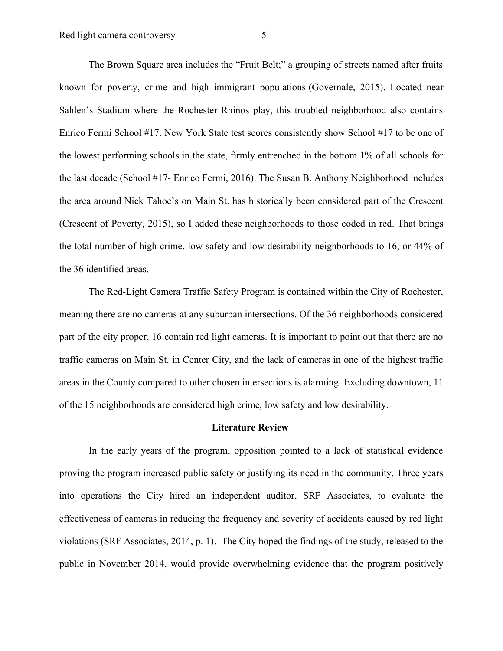The Brown Square area includes the "Fruit Belt;" a grouping of streets named after fruits known for poverty, crime and high immigrant populations (Governale, 2015). Located near Sahlen's Stadium where the Rochester Rhinos play, this troubled neighborhood also contains Enrico Fermi School #17. New York State test scores consistently show School #17 to be one of the lowest performing schools in the state, firmly entrenched in the bottom 1% of all schools for the last decade (School #17- Enrico Fermi, 2016). The Susan B. Anthony Neighborhood includes the area around Nick Tahoe's on Main St. has historically been considered part of the Crescent (Crescent of Poverty, 2015), so I added these neighborhoods to those coded in red. That brings the total number of high crime, low safety and low desirability neighborhoods to 16, or 44% of the 36 identified areas.

The Red-Light Camera Traffic Safety Program is contained within the City of Rochester, meaning there are no cameras at any suburban intersections. Of the 36 neighborhoods considered part of the city proper, 16 contain red light cameras. It is important to point out that there are no traffic cameras on Main St. in Center City, and the lack of cameras in one of the highest traffic areas in the County compared to other chosen intersections is alarming. Excluding downtown, 11 of the 15 neighborhoods are considered high crime, low safety and low desirability.

#### **Literature Review**

In the early years of the program, opposition pointed to a lack of statistical evidence proving the program increased public safety or justifying its need in the community. Three years into operations the City hired an independent auditor, SRF Associates, to evaluate the effectiveness of cameras in reducing the frequency and severity of accidents caused by red light violations (SRF Associates, 2014, p. 1). The City hoped the findings of the study, released to the public in November 2014, would provide overwhelming evidence that the program positively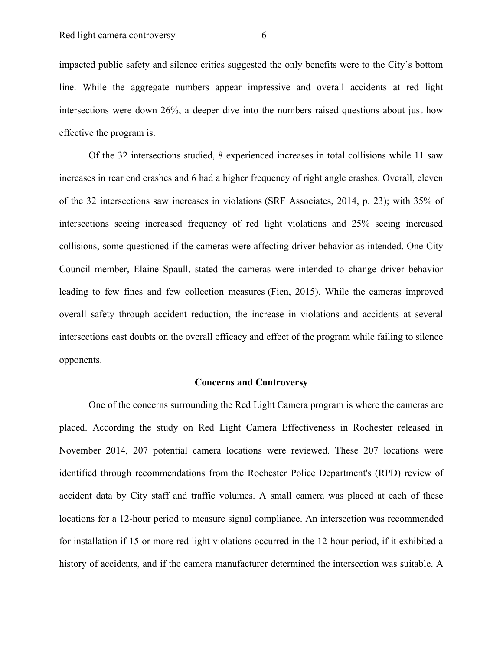impacted public safety and silence critics suggested the only benefits were to the City's bottom line. While the aggregate numbers appear impressive and overall accidents at red light intersections were down 26%, a deeper dive into the numbers raised questions about just how effective the program is.

Of the 32 intersections studied, 8 experienced increases in total collisions while 11 saw increases in rear end crashes and 6 had a higher frequency of right angle crashes. Overall, eleven of the 32 intersections saw increases in violations (SRF Associates, 2014, p. 23); with 35% of intersections seeing increased frequency of red light violations and 25% seeing increased collisions, some questioned if the cameras were affecting driver behavior as intended. One City Council member, Elaine Spaull, stated the cameras were intended to change driver behavior leading to few fines and few collection measures (Fien, 2015). While the cameras improved overall safety through accident reduction, the increase in violations and accidents at several intersections cast doubts on the overall efficacy and effect of the program while failing to silence opponents.

#### **Concerns and Controversy**

One of the concerns surrounding the Red Light Camera program is where the cameras are placed. According the study on Red Light Camera Effectiveness in Rochester released in November 2014, 207 potential camera locations were reviewed. These 207 locations were identified through recommendations from the Rochester Police Department's (RPD) review of accident data by City staff and traffic volumes. A small camera was placed at each of these locations for a 12-hour period to measure signal compliance. An intersection was recommended for installation if 15 or more red light violations occurred in the 12-hour period, if it exhibited a history of accidents, and if the camera manufacturer determined the intersection was suitable. A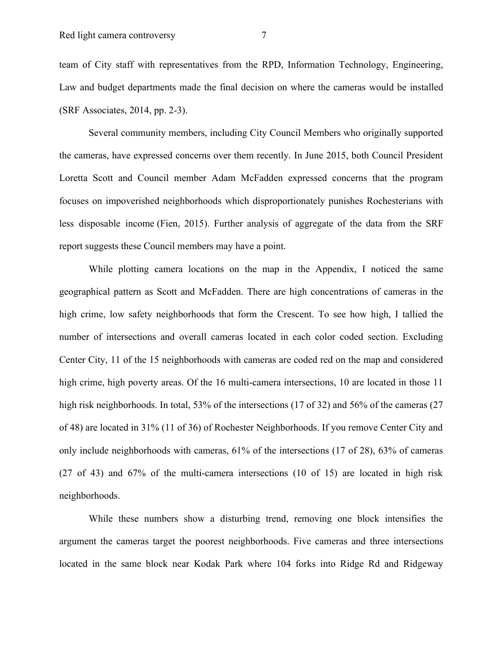team of City staff with representatives from the RPD, Information Technology, Engineering, Law and budget departments made the final decision on where the cameras would be installed (SRF Associates, 2014, pp. 2-3).

Several community members, including City Council Members who originally supported the cameras, have expressed concerns over them recently. In June 2015, both Council President Loretta Scott and Council member Adam McFadden expressed concerns that the program focuses on impoverished neighborhoods which disproportionately punishes Rochesterians with less disposable income (Fien, 2015). Further analysis of aggregate of the data from the SRF report suggests these Council members may have a point.

While plotting camera locations on the map in the Appendix, I noticed the same geographical pattern as Scott and McFadden. There are high concentrations of cameras in the high crime, low safety neighborhoods that form the Crescent. To see how high, I tallied the number of intersections and overall cameras located in each color coded section. Excluding Center City, 11 of the 15 neighborhoods with cameras are coded red on the map and considered high crime, high poverty areas. Of the 16 multi-camera intersections, 10 are located in those 11 high risk neighborhoods. In total, 53% of the intersections (17 of 32) and 56% of the cameras (27 of 48) are located in 31% (11 of 36) of Rochester Neighborhoods. If you remove Center City and only include neighborhoods with cameras, 61% of the intersections (17 of 28), 63% of cameras (27 of 43) and 67% of the multi-camera intersections (10 of 15) are located in high risk neighborhoods.

While these numbers show a disturbing trend, removing one block intensifies the argument the cameras target the poorest neighborhoods. Five cameras and three intersections located in the same block near Kodak Park where 104 forks into Ridge Rd and Ridgeway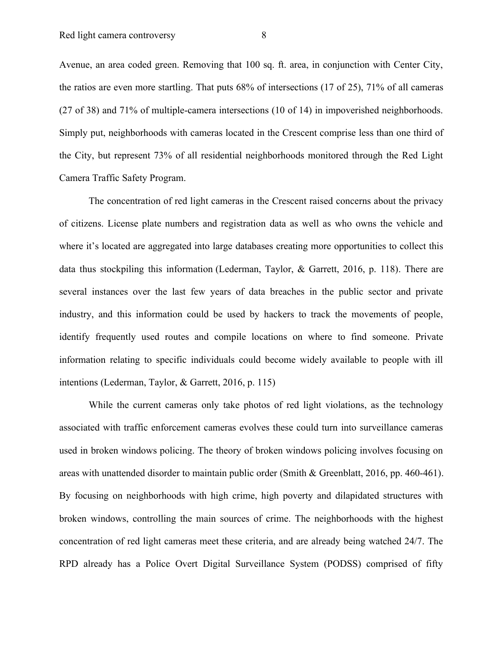Avenue, an area coded green. Removing that 100 sq. ft. area, in conjunction with Center City, the ratios are even more startling. That puts 68% of intersections (17 of 25), 71% of all cameras (27 of 38) and 71% of multiple-camera intersections (10 of 14) in impoverished neighborhoods. Simply put, neighborhoods with cameras located in the Crescent comprise less than one third of the City, but represent 73% of all residential neighborhoods monitored through the Red Light Camera Traffic Safety Program.

The concentration of red light cameras in the Crescent raised concerns about the privacy of citizens. License plate numbers and registration data as well as who owns the vehicle and where it's located are aggregated into large databases creating more opportunities to collect this data thus stockpiling this information (Lederman, Taylor, & Garrett, 2016, p. 118). There are several instances over the last few years of data breaches in the public sector and private industry, and this information could be used by hackers to track the movements of people, identify frequently used routes and compile locations on where to find someone. Private information relating to specific individuals could become widely available to people with ill intentions (Lederman, Taylor, & Garrett, 2016, p. 115)

While the current cameras only take photos of red light violations, as the technology associated with traffic enforcement cameras evolves these could turn into surveillance cameras used in broken windows policing. The theory of broken windows policing involves focusing on areas with unattended disorder to maintain public order (Smith & Greenblatt, 2016, pp. 460-461). By focusing on neighborhoods with high crime, high poverty and dilapidated structures with broken windows, controlling the main sources of crime. The neighborhoods with the highest concentration of red light cameras meet these criteria, and are already being watched 24/7. The RPD already has a Police Overt Digital Surveillance System (PODSS) comprised of fifty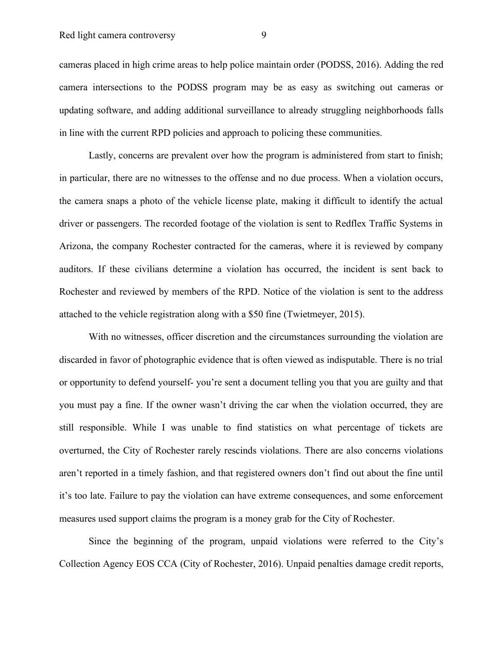cameras placed in high crime areas to help police maintain order (PODSS, 2016). Adding the red camera intersections to the PODSS program may be as easy as switching out cameras or updating software, and adding additional surveillance to already struggling neighborhoods falls in line with the current RPD policies and approach to policing these communities.

Lastly, concerns are prevalent over how the program is administered from start to finish; in particular, there are no witnesses to the offense and no due process. When a violation occurs, the camera snaps a photo of the vehicle license plate, making it difficult to identify the actual driver or passengers. The recorded footage of the violation is sent to Redflex Traffic Systems in Arizona, the company Rochester contracted for the cameras, where it is reviewed by company auditors. If these civilians determine a violation has occurred, the incident is sent back to Rochester and reviewed by members of the RPD. Notice of the violation is sent to the address attached to the vehicle registration along with a \$50 fine (Twietmeyer, 2015).

With no witnesses, officer discretion and the circumstances surrounding the violation are discarded in favor of photographic evidence that is often viewed as indisputable. There is no trial or opportunity to defend yourself- you're sent a document telling you that you are guilty and that you must pay a fine. If the owner wasn't driving the car when the violation occurred, they are still responsible. While I was unable to find statistics on what percentage of tickets are overturned, the City of Rochester rarely rescinds violations. There are also concerns violations aren't reported in a timely fashion, and that registered owners don't find out about the fine until it's too late. Failure to pay the violation can have extreme consequences, and some enforcement measures used support claims the program is a money grab for the City of Rochester.

Since the beginning of the program, unpaid violations were referred to the City's Collection Agency EOS CCA (City of Rochester, 2016). Unpaid penalties damage credit reports,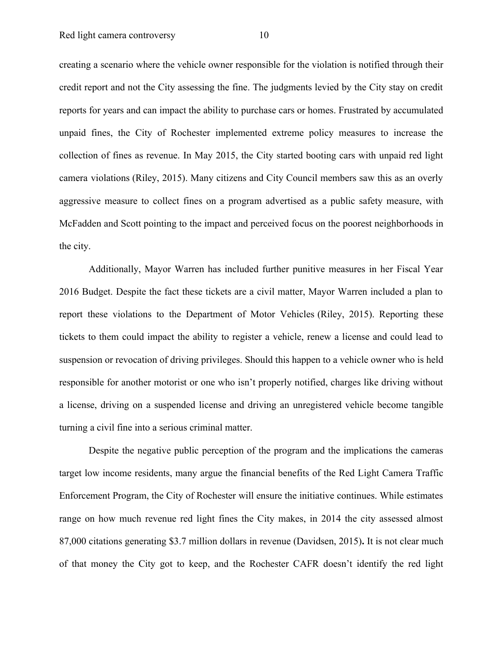creating a scenario where the vehicle owner responsible for the violation is notified through their credit report and not the City assessing the fine. The judgments levied by the City stay on credit reports for years and can impact the ability to purchase cars or homes. Frustrated by accumulated unpaid fines, the City of Rochester implemented extreme policy measures to increase the collection of fines as revenue. In May 2015, the City started booting cars with unpaid red light camera violations (Riley, 2015). Many citizens and City Council members saw this as an overly aggressive measure to collect fines on a program advertised as a public safety measure, with McFadden and Scott pointing to the impact and perceived focus on the poorest neighborhoods in the city.

Additionally, Mayor Warren has included further punitive measures in her Fiscal Year 2016 Budget. Despite the fact these tickets are a civil matter, Mayor Warren included a plan to report these violations to the Department of Motor Vehicles (Riley, 2015). Reporting these tickets to them could impact the ability to register a vehicle, renew a license and could lead to suspension or revocation of driving privileges. Should this happen to a vehicle owner who is held responsible for another motorist or one who isn't properly notified, charges like driving without a license, driving on a suspended license and driving an unregistered vehicle become tangible turning a civil fine into a serious criminal matter.

Despite the negative public perception of the program and the implications the cameras target low income residents, many argue the financial benefits of the Red Light Camera Traffic Enforcement Program, the City of Rochester will ensure the initiative continues. While estimates range on how much revenue red light fines the City makes, in 2014 the city assessed almost 87,000 citations generating \$3.7 million dollars in revenue (Davidsen, 2015)**.** It is not clear much of that money the City got to keep, and the Rochester CAFR doesn't identify the red light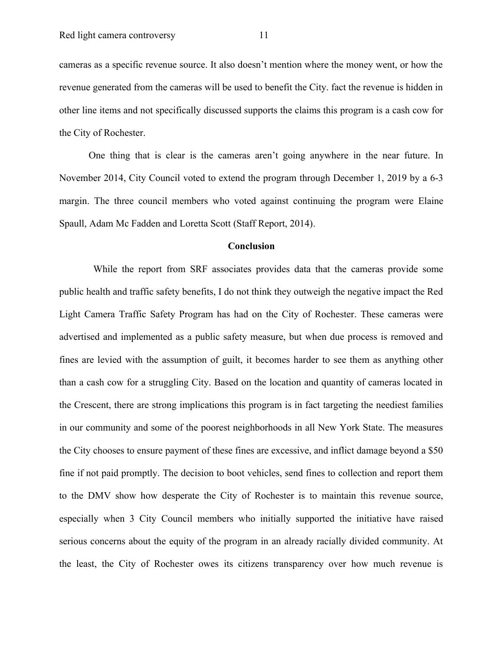cameras as a specific revenue source. It also doesn't mention where the money went, or how the revenue generated from the cameras will be used to benefit the City. fact the revenue is hidden in other line items and not specifically discussed supports the claims this program is a cash cow for the City of Rochester.

One thing that is clear is the cameras aren't going anywhere in the near future. In November 2014, City Council voted to extend the program through December 1, 2019 by a 6-3 margin. The three council members who voted against continuing the program were Elaine Spaull, Adam Mc Fadden and Loretta Scott (Staff Report, 2014).

#### **Conclusion**

While the report from SRF associates provides data that the cameras provide some public health and traffic safety benefits, I do not think they outweigh the negative impact the Red Light Camera Traffic Safety Program has had on the City of Rochester. These cameras were advertised and implemented as a public safety measure, but when due process is removed and fines are levied with the assumption of guilt, it becomes harder to see them as anything other than a cash cow for a struggling City. Based on the location and quantity of cameras located in the Crescent, there are strong implications this program is in fact targeting the neediest families in our community and some of the poorest neighborhoods in all New York State. The measures the City chooses to ensure payment of these fines are excessive, and inflict damage beyond a \$50 fine if not paid promptly. The decision to boot vehicles, send fines to collection and report them to the DMV show how desperate the City of Rochester is to maintain this revenue source, especially when 3 City Council members who initially supported the initiative have raised serious concerns about the equity of the program in an already racially divided community. At the least, the City of Rochester owes its citizens transparency over how much revenue is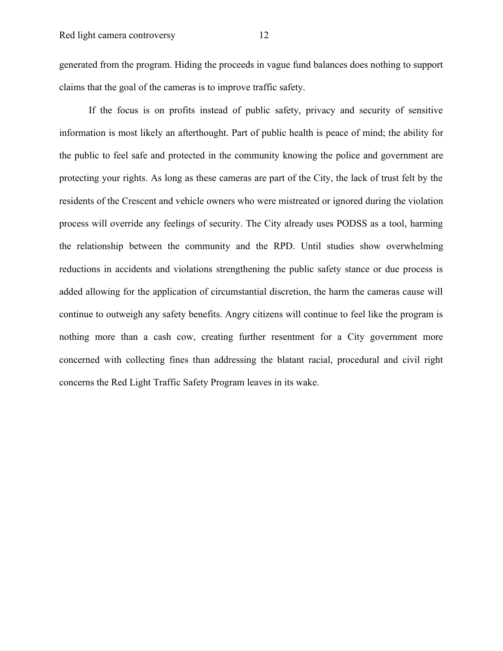generated from the program. Hiding the proceeds in vague fund balances does nothing to support claims that the goal of the cameras is to improve traffic safety.

If the focus is on profits instead of public safety, privacy and security of sensitive information is most likely an afterthought. Part of public health is peace of mind; the ability for the public to feel safe and protected in the community knowing the police and government are protecting your rights. As long as these cameras are part of the City, the lack of trust felt by the residents of the Crescent and vehicle owners who were mistreated or ignored during the violation process will override any feelings of security. The City already uses PODSS as a tool, harming the relationship between the community and the RPD. Until studies show overwhelming reductions in accidents and violations strengthening the public safety stance or due process is added allowing for the application of circumstantial discretion, the harm the cameras cause will continue to outweigh any safety benefits. Angry citizens will continue to feel like the program is nothing more than a cash cow, creating further resentment for a City government more concerned with collecting fines than addressing the blatant racial, procedural and civil right concerns the Red Light Traffic Safety Program leaves in its wake.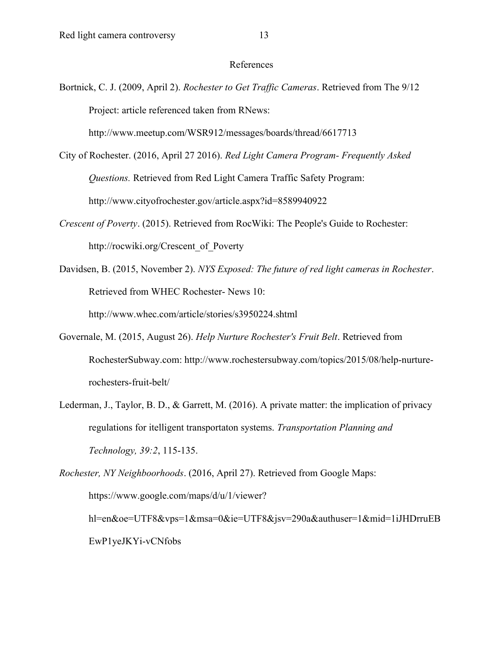## References

Bortnick, C. J. (2009, April 2). *Rochester to Get Traffic Cameras*. Retrieved from The 9/12 Project: article referenced taken from RNews:

http://www.meetup.com/WSR912/messages/boards/thread/6617713

- City of Rochester. (2016, April 27 2016). *Red Light Camera Program- Frequently Asked Questions.* Retrieved from Red Light Camera Traffic Safety Program: http://www.cityofrochester.gov/article.aspx?id=8589940922
- *Crescent of Poverty*. (2015). Retrieved from RocWiki: The People's Guide to Rochester: http://rocwiki.org/Crescent\_of\_Poverty
- Davidsen, B. (2015, November 2). *NYS Exposed: The future of red light cameras in Rochester*. Retrieved from WHEC Rochester- News 10: http://www.whec.com/article/stories/s3950224.shtml
- Governale, M. (2015, August 26). *Help Nurture Rochester's Fruit Belt*. Retrieved from RochesterSubway.com: http://www.rochestersubway.com/topics/2015/08/help-nurturerochesters-fruit-belt/
- Lederman, J., Taylor, B. D., & Garrett, M. (2016). A private matter: the implication of privacy regulations for itelligent transportaton systems. *Transportation Planning and Technology, 39:2*, 115-135.

*Rochester, NY Neighboorhoods*. (2016, April 27). Retrieved from Google Maps: https://www.google.com/maps/d/u/1/viewer? hl=en&oe=UTF8&vps=1&msa=0&ie=UTF8&jsv=290a&authuser=1&mid=1iJHDrruEB EwP1yeJKYi-vCNfobs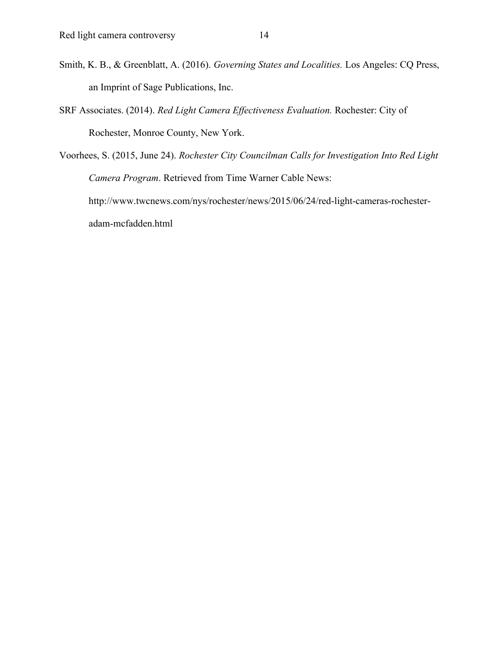- Smith, K. B., & Greenblatt, A. (2016). *Governing States and Localities.* Los Angeles: CQ Press, an Imprint of Sage Publications, Inc.
- SRF Associates. (2014). *Red Light Camera Effectiveness Evaluation.* Rochester: City of Rochester, Monroe County, New York.
- Voorhees, S. (2015, June 24). *Rochester City Councilman Calls for Investigation Into Red Light Camera Program*. Retrieved from Time Warner Cable News: http://www.twcnews.com/nys/rochester/news/2015/06/24/red-light-cameras-rochesteradam-mcfadden.html